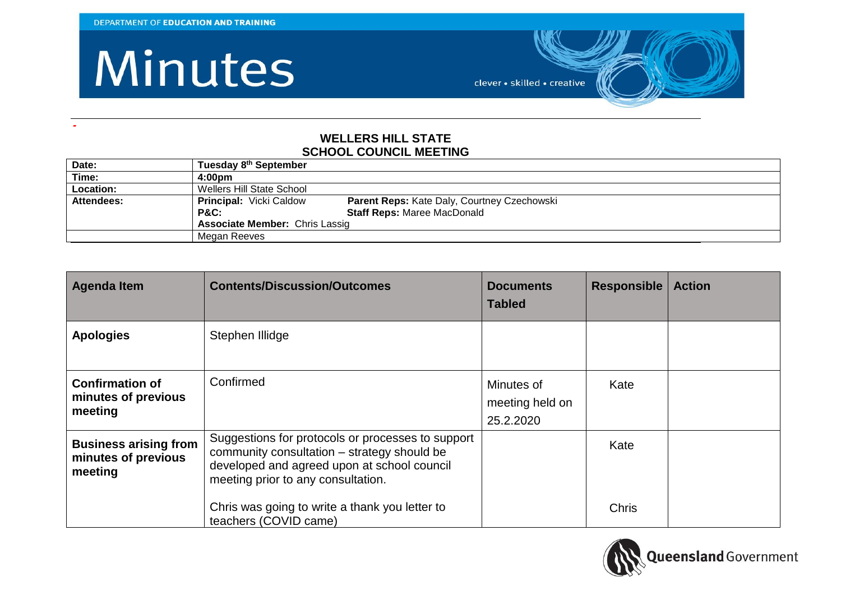**-**

#### Minutes

clever · skilled · creative

#### **WELLERS HILL STATE SCHOOL COUNCIL MEETING**

| Date:             | Tuesday 8 <sup>th</sup> September     |                                             |
|-------------------|---------------------------------------|---------------------------------------------|
| Time:             | 4:00 <sub>pm</sub>                    |                                             |
| Location:         | Wellers Hill State School             |                                             |
| <b>Attendees:</b> | <b>Principal: Vicki Caldow</b>        | Parent Reps: Kate Daly, Courtney Czechowski |
|                   | <b>P&amp;C:</b>                       | <b>Staff Reps: Maree MacDonald</b>          |
|                   | <b>Associate Member: Chris Lassig</b> |                                             |
|                   | Megan Reeves                          |                                             |

| <b>Agenda Item</b>                                             | <b>Contents/Discussion/Outcomes</b>                                                                                                                                                   | <b>Documents</b><br><b>Tabled</b>          | <b>Responsible</b> | <b>Action</b> |
|----------------------------------------------------------------|---------------------------------------------------------------------------------------------------------------------------------------------------------------------------------------|--------------------------------------------|--------------------|---------------|
| <b>Apologies</b>                                               | Stephen Illidge                                                                                                                                                                       |                                            |                    |               |
| <b>Confirmation of</b><br>minutes of previous<br>meeting       | Confirmed                                                                                                                                                                             | Minutes of<br>meeting held on<br>25.2.2020 | Kate               |               |
| <b>Business arising from</b><br>minutes of previous<br>meeting | Suggestions for protocols or processes to support<br>community consultation – strategy should be<br>developed and agreed upon at school council<br>meeting prior to any consultation. |                                            | Kate               |               |
|                                                                | Chris was going to write a thank you letter to<br>teachers (COVID came)                                                                                                               |                                            | <b>Chris</b>       |               |

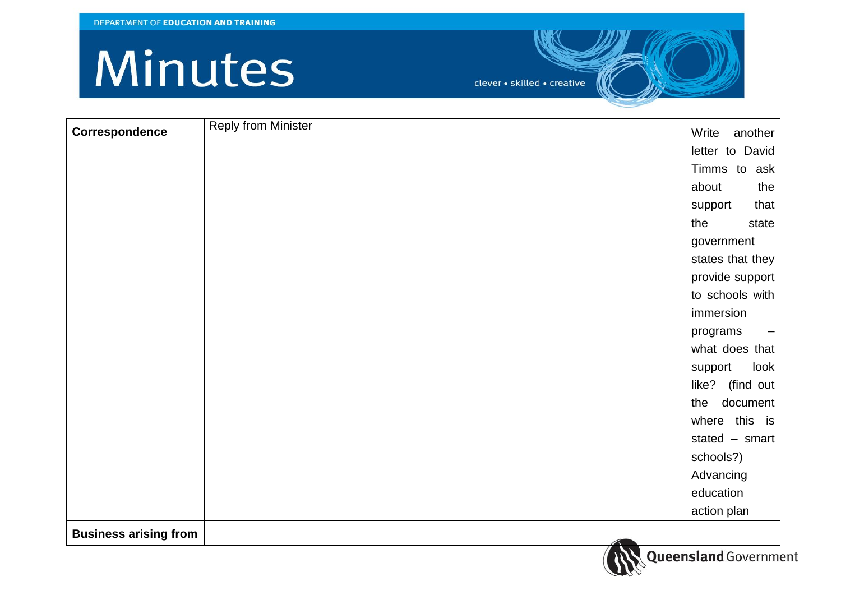| Correspondence               | <b>Reply from Minister</b> |  | another<br>Write |
|------------------------------|----------------------------|--|------------------|
|                              |                            |  |                  |
|                              |                            |  | letter to David  |
|                              |                            |  | Timms to ask     |
|                              |                            |  | about<br>the     |
|                              |                            |  | that<br>support  |
|                              |                            |  | the<br>state     |
|                              |                            |  | government       |
|                              |                            |  | states that they |
|                              |                            |  | provide support  |
|                              |                            |  | to schools with  |
|                              |                            |  | immersion        |
|                              |                            |  | programs<br>—    |
|                              |                            |  | what does that   |
|                              |                            |  | look<br>support  |
|                              |                            |  | like? (find out  |
|                              |                            |  | document<br>the  |
|                              |                            |  | where this is    |
|                              |                            |  | stated $-$ smart |
|                              |                            |  | schools?)        |
|                              |                            |  | Advancing        |
|                              |                            |  | education        |
|                              |                            |  | action plan      |
| <b>Business arising from</b> |                            |  |                  |

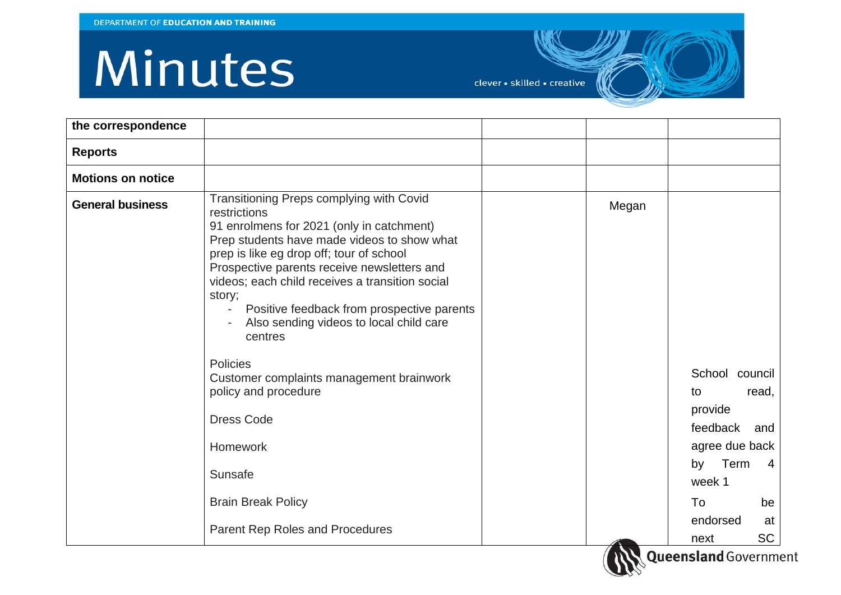| the correspondence       |                                                                                                                                                                                                                                                                                                                                                                                                                                                                                                                                                                                                              |       |                                                                                                                                                            |
|--------------------------|--------------------------------------------------------------------------------------------------------------------------------------------------------------------------------------------------------------------------------------------------------------------------------------------------------------------------------------------------------------------------------------------------------------------------------------------------------------------------------------------------------------------------------------------------------------------------------------------------------------|-------|------------------------------------------------------------------------------------------------------------------------------------------------------------|
| <b>Reports</b>           |                                                                                                                                                                                                                                                                                                                                                                                                                                                                                                                                                                                                              |       |                                                                                                                                                            |
| <b>Motions on notice</b> |                                                                                                                                                                                                                                                                                                                                                                                                                                                                                                                                                                                                              |       |                                                                                                                                                            |
| <b>General business</b>  | Transitioning Preps complying with Covid<br>restrictions<br>91 enrolmens for 2021 (only in catchment)<br>Prep students have made videos to show what<br>prep is like eg drop off; tour of school<br>Prospective parents receive newsletters and<br>videos; each child receives a transition social<br>story;<br>Positive feedback from prospective parents<br>Also sending videos to local child care<br>centres<br>Policies<br>Customer complaints management brainwork<br>policy and procedure<br><b>Dress Code</b><br>Homework<br>Sunsafe<br><b>Brain Break Policy</b><br>Parent Rep Roles and Procedures | Megan | School council<br>read,<br>to<br>provide<br>feedback<br>and<br>agree due back<br>by Term<br>4<br>week 1<br>To<br>be<br>endorsed<br>at<br><b>SC</b><br>next |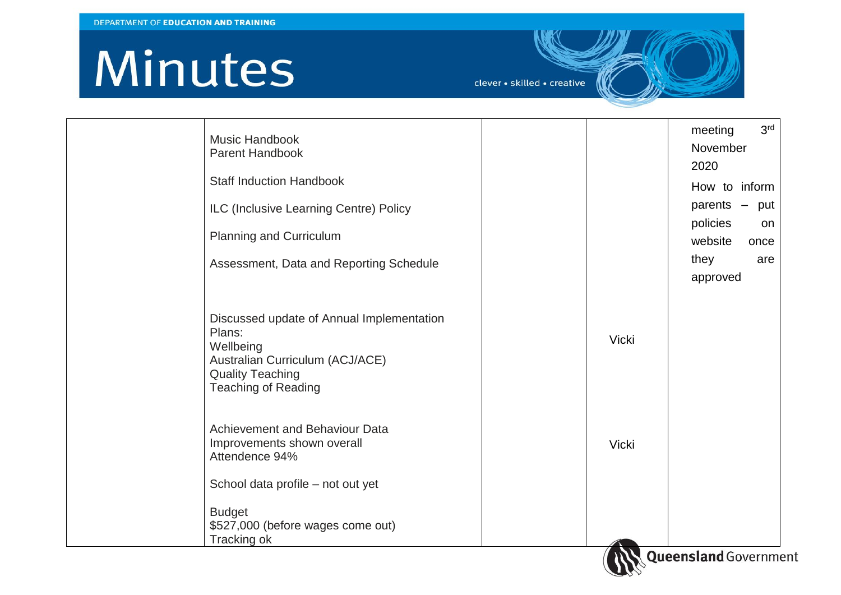| <b>Music Handbook</b><br><b>Parent Handbook</b>                                                                                                              |              | 3 <sup>rd</sup><br>meeting<br>November<br>2020 |
|--------------------------------------------------------------------------------------------------------------------------------------------------------------|--------------|------------------------------------------------|
| <b>Staff Induction Handbook</b>                                                                                                                              |              | How to inform                                  |
| ILC (Inclusive Learning Centre) Policy                                                                                                                       |              | parents $-$ put                                |
| <b>Planning and Curriculum</b>                                                                                                                               |              | policies<br>on<br>website<br>once              |
| Assessment, Data and Reporting Schedule                                                                                                                      |              | they<br>are<br>approved                        |
| Discussed update of Annual Implementation<br>Plans:<br>Wellbeing<br>Australian Curriculum (ACJ/ACE)<br><b>Quality Teaching</b><br><b>Teaching of Reading</b> | <b>Vicki</b> |                                                |
| Achievement and Behaviour Data<br>Improvements shown overall<br>Attendence 94%                                                                               | <b>Vicki</b> |                                                |
| School data profile – not out yet                                                                                                                            |              |                                                |
| <b>Budget</b><br>\$527,000 (before wages come out)<br>Tracking ok                                                                                            |              |                                                |